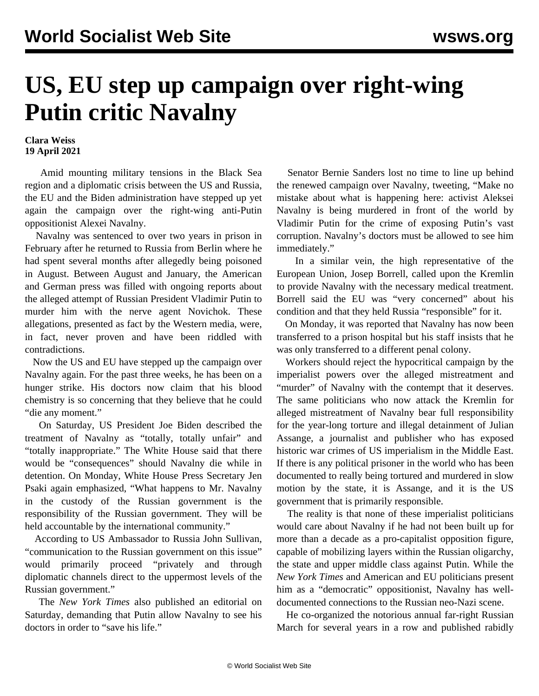## **US, EU step up campaign over right-wing Putin critic Navalny**

## **Clara Weiss 19 April 2021**

 Amid [mounting military tensions](/en/articles/2021/04/14/ukra-a14.html) in the Black Sea region and a diplomatic crisis between the US and Russia, the EU and the Biden administration have stepped up yet again the campaign over the right-wing anti-Putin oppositionist Alexei Navalny.

 Navalny was [sentenced](/en/articles/2021/02/03/nav-m02.html) to over two years in prison in February after he returned to Russia from Berlin where he had spent several months after allegedly being poisoned in August. Between August and January, the American and German press was filled with ongoing reports about the alleged attempt of Russian President Vladimir Putin to murder him with the nerve agent Novichok. These allegations, presented as fact by the Western media, were, in fact, never proven and have been riddled with contradictions.

 Now the US and EU have stepped up the campaign over Navalny again. For the past three weeks, he has been on a hunger strike. His doctors now claim that his blood chemistry is so concerning that they believe that he could "die any moment."

 On Saturday, US President Joe Biden described the treatment of Navalny as "totally, totally unfair" and "totally inappropriate." The White House said that there would be "consequences" should Navalny die while in detention. On Monday, White House Press Secretary Jen Psaki again emphasized, "What happens to Mr. Navalny in the custody of the Russian government is the responsibility of the Russian government. They will be held accountable by the international community."

 According to US Ambassador to Russia John Sullivan, "communication to the Russian government on this issue" would primarily proceed "privately and through diplomatic channels direct to the uppermost levels of the Russian government."

 The *New York Times* also published an editorial on Saturday, demanding that Putin allow Navalny to see his doctors in order to "save his life."

 Senator Bernie Sanders lost no time to line up behind the renewed campaign over Navalny, tweeting, "Make no mistake about what is happening here: activist Aleksei Navalny is being murdered in front of the world by Vladimir Putin for the crime of exposing Putin's vast corruption. Navalny's doctors must be allowed to see him immediately."

 In a similar vein, the high representative of the European Union, Josep Borrell, called upon the Kremlin to provide Navalny with the necessary medical treatment. Borrell said the EU was "very concerned" about his condition and that they held Russia "responsible" for it.

 On Monday, it was reported that Navalny has now been transferred to a prison hospital but his staff insists that he was only transferred to a different penal colony.

 Workers should reject the hypocritical campaign by the imperialist powers over the alleged mistreatment and "murder" of Navalny with the contempt that it deserves. The same politicians who now attack the Kremlin for alleged mistreatment of Navalny bear full responsibility for the year-long torture and illegal detainment of Julian Assange, a journalist and publisher who has exposed historic war crimes of US imperialism in the Middle East. If there is any political prisoner in the world who has been documented to really being tortured and murdered in slow motion by the state, it is Assange, and it is the US government that is primarily responsible.

 The reality is that none of these imperialist politicians would care about Navalny if he had not been built up for more than a decade as a pro-capitalist opposition figure, capable of mobilizing layers within the Russian oligarchy, the state and upper middle class against Putin. While the *New York Times* and American and EU politicians present him as a "democratic" oppositionist, Navalny has welldocumented connections to the Russian neo-Nazi scene.

 He co-organized the notorious annual far-right Russian March for several years in a row and published rabidly